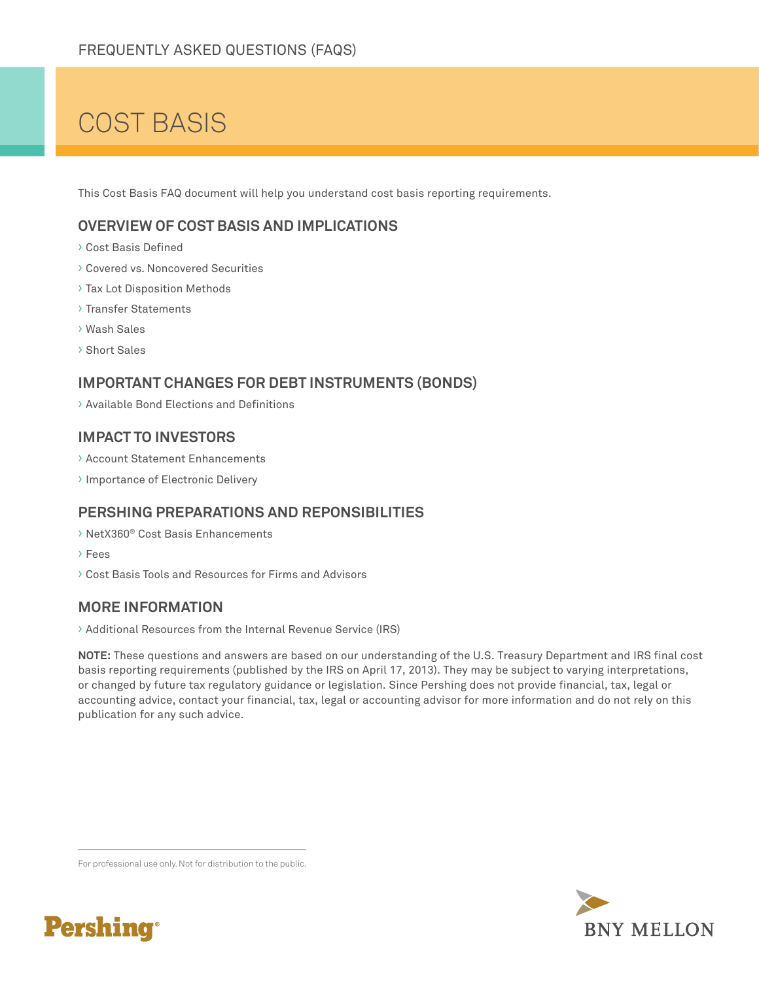# COST BASIS

This Cost Basis FAQ document will help you understand cost basis reporting requirements.

# **OVERVIEW OF COST BASIS AND IMPLICATIONS**

- › Cost Basis Defined
- › Covered vs. Noncovered Securities
- › Tax Lot Disposition Methods
- › Transfer Statements
- › Wash Sales
- › Short Sales

## **IMPORTANT CHANGES FOR DEBT INSTRUMENTS (BONDS)**

› Available Bond Elections and Definitions

#### **IMPACT TO INVESTORS**

- › Account Statement Enhancements
- › Importance of Electronic Delivery

# **PERSHING PREPARATIONS AND REPONSIBILITIES**

- › NetX360® Cost Basis Enhancements
- › Fees
- › Cost Basis Tools and Resources for Firms and Advisors

# **MORE INFORMATION**

› Additional Resources from the Internal Revenue Service (IRS)

**NOTE:** These questions and answers are based on our understanding of the U.S. Treasury Department and IRS final cost basis reporting requirements (published by the IRS on April 17, 2013). They may be subject to varying interpretations, or changed by future tax regulatory guidance or legislation. Since Pershing does not provide financial, tax, legal or accounting advice, contact your financial, tax, legal or accounting advisor for more information and do not rely on this publication for any such advice.



For professional use only. Not for distribution to the public.

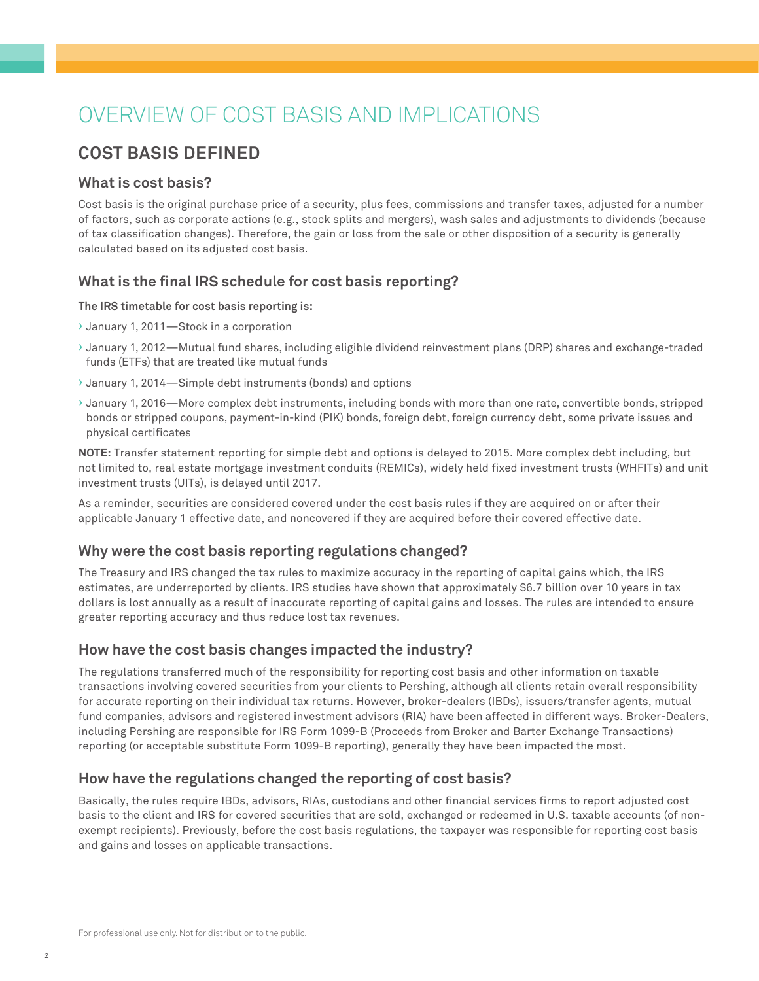# OVERVIEW OF COST BASIS AND IMPLICATIONS

# **COST BASIS DEFINED**

## **What is cost basis?**

Cost basis is the original purchase price of a security, plus fees, commissions and transfer taxes, adjusted for a number of factors, such as corporate actions (e.g., stock splits and mergers), wash sales and adjustments to dividends (because of tax classification changes). Therefore, the gain or loss from the sale or other disposition of a security is generally calculated based on its adjusted cost basis.

# **What is the final IRS schedule for cost basis reporting?**

#### **The IRS timetable for cost basis reporting is:**

- › January 1, 2011—Stock in a corporation
- › January 1, 2012—Mutual fund shares, including eligible dividend reinvestment plans (DRP) shares and exchange-traded funds (ETFs) that are treated like mutual funds
- › January 1, 2014—Simple debt instruments (bonds) and options
- › January 1, 2016—More complex debt instruments, including bonds with more than one rate, convertible bonds, stripped bonds or stripped coupons, payment-in-kind (PIK) bonds, foreign debt, foreign currency debt, some private issues and physical certificates

**NOTE:** Transfer statement reporting for simple debt and options is delayed to 2015. More complex debt including, but not limited to, real estate mortgage investment conduits (REMICs), widely held fixed investment trusts (WHFITs) and unit investment trusts (UITs), is delayed until 2017.

As a reminder, securities are considered covered under the cost basis rules if they are acquired on or after their applicable January 1 effective date, and noncovered if they are acquired before their covered effective date.

# **Why were the cost basis reporting regulations changed?**

The Treasury and IRS changed the tax rules to maximize accuracy in the reporting of capital gains which, the IRS estimates, are underreported by clients. IRS studies have shown that approximately \$6.7 billion over 10 years in tax dollars is lost annually as a result of inaccurate reporting of capital gains and losses. The rules are intended to ensure greater reporting accuracy and thus reduce lost tax revenues.

# **How have the cost basis changes impacted the industry?**

The regulations transferred much of the responsibility for reporting cost basis and other information on taxable transactions involving covered securities from your clients to Pershing, although all clients retain overall responsibility for accurate reporting on their individual tax returns. However, broker-dealers (IBDs), issuers/transfer agents, mutual fund companies, advisors and registered investment advisors (RIA) have been affected in different ways. Broker-Dealers, including Pershing are responsible for IRS Form 1099-B (Proceeds from Broker and Barter Exchange Transactions) reporting (or acceptable substitute Form 1099-B reporting), generally they have been impacted the most.

# **How have the regulations changed the reporting of cost basis?**

Basically, the rules require IBDs, advisors, RIAs, custodians and other financial services firms to report adjusted cost basis to the client and IRS for covered securities that are sold, exchanged or redeemed in U.S. taxable accounts (of nonexempt recipients). Previously, before the cost basis regulations, the taxpayer was responsible for reporting cost basis and gains and losses on applicable transactions.

For professional use only. Not for distribution to the public.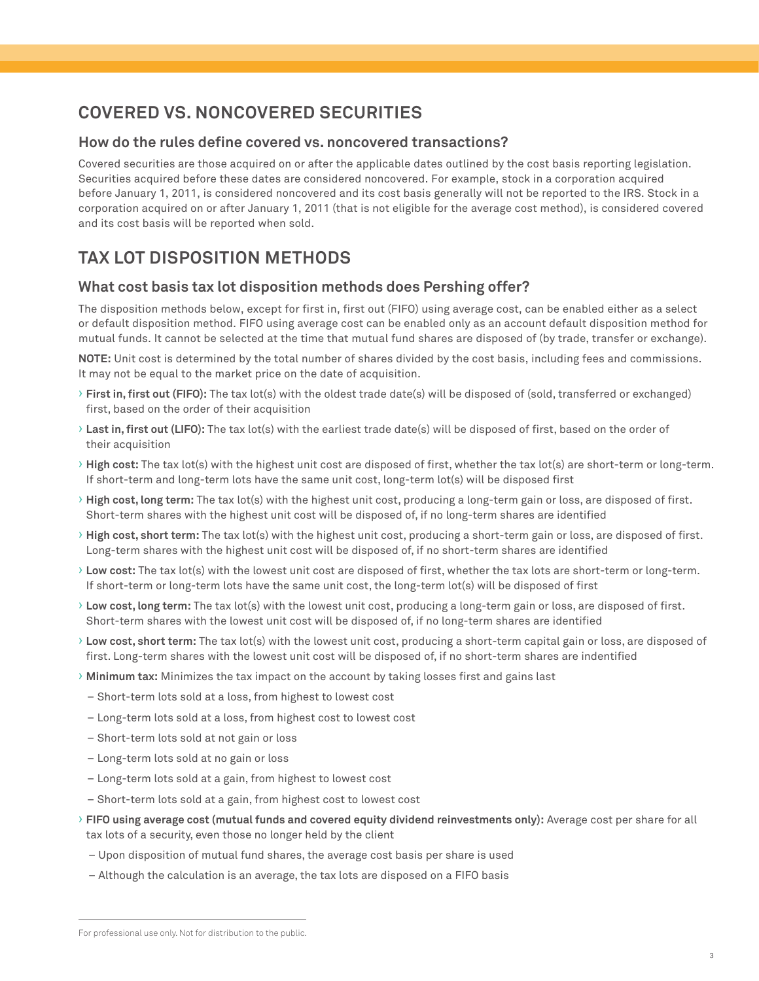# **COVERED VS. NONCOVERED SECURITIES**

## **How do the rules define covered vs. noncovered transactions?**

Covered securities are those acquired on or after the applicable dates outlined by the cost basis reporting legislation. Securities acquired before these dates are considered noncovered. For example, stock in a corporation acquired before January 1, 2011, is considered noncovered and its cost basis generally will not be reported to the IRS. Stock in a corporation acquired on or after January 1, 2011 (that is not eligible for the average cost method), is considered covered and its cost basis will be reported when sold.

# **TAX LOT DISPOSITION METHODS**

## **What cost basis tax lot disposition methods does Pershing offer?**

The disposition methods below, except for first in, first out (FIFO) using average cost, can be enabled either as a select or default disposition method. FIFO using average cost can be enabled only as an account default disposition method for mutual funds. It cannot be selected at the time that mutual fund shares are disposed of (by trade, transfer or exchange).

**NOTE:** Unit cost is determined by the total number of shares divided by the cost basis, including fees and commissions. It may not be equal to the market price on the date of acquisition.

- › **First in, first out (FIFO):** The tax lot(s) with the oldest trade date(s) will be disposed of (sold, transferred or exchanged) first, based on the order of their acquisition
- › **Last in, first out (LIFO):** The tax lot(s) with the earliest trade date(s) will be disposed of first, based on the order of their acquisition
- › **High cost:** The tax lot(s) with the highest unit cost are disposed of first, whether the tax lot(s) are short-term or long-term. If short-term and long-term lots have the same unit cost, long-term lot(s) will be disposed first
- › **High cost, long term:** The tax lot(s) with the highest unit cost, producing a long-term gain or loss, are disposed of first. Short-term shares with the highest unit cost will be disposed of, if no long-term shares are identified
- › **High cost, short term:** The tax lot(s) with the highest unit cost, producing a short-term gain or loss, are disposed of first. Long-term shares with the highest unit cost will be disposed of, if no short-term shares are identified
- › **Low cost:** The tax lot(s) with the lowest unit cost are disposed of first, whether the tax lots are short-term or long-term. If short-term or long-term lots have the same unit cost, the long-term lot(s) will be disposed of first
- › **Low cost, long term:** The tax lot(s) with the lowest unit cost, producing a long-term gain or loss, are disposed of first. Short-term shares with the lowest unit cost will be disposed of, if no long-term shares are identified
- › **Low cost, short term:** The tax lot(s) with the lowest unit cost, producing a short-term capital gain or loss, are disposed of first. Long-term shares with the lowest unit cost will be disposed of, if no short-term shares are indentified
- › **Minimum tax:** Minimizes the tax impact on the account by taking losses first and gains last
	- Short-term lots sold at a loss, from highest to lowest cost
	- Long-term lots sold at a loss, from highest cost to lowest cost
- Short-term lots sold at not gain or loss
- Long-term lots sold at no gain or loss
- Long-term lots sold at a gain, from highest to lowest cost
- Short-term lots sold at a gain, from highest cost to lowest cost
- › **FIFO using average cost (mutual funds and covered equity dividend reinvestments only):** Average cost per share for all tax lots of a security, even those no longer held by the client
	- Upon disposition of mutual fund shares, the average cost basis per share is used
	- Although the calculation is an average, the tax lots are disposed on a FIFO basis

For professional use only. Not for distribution to the public.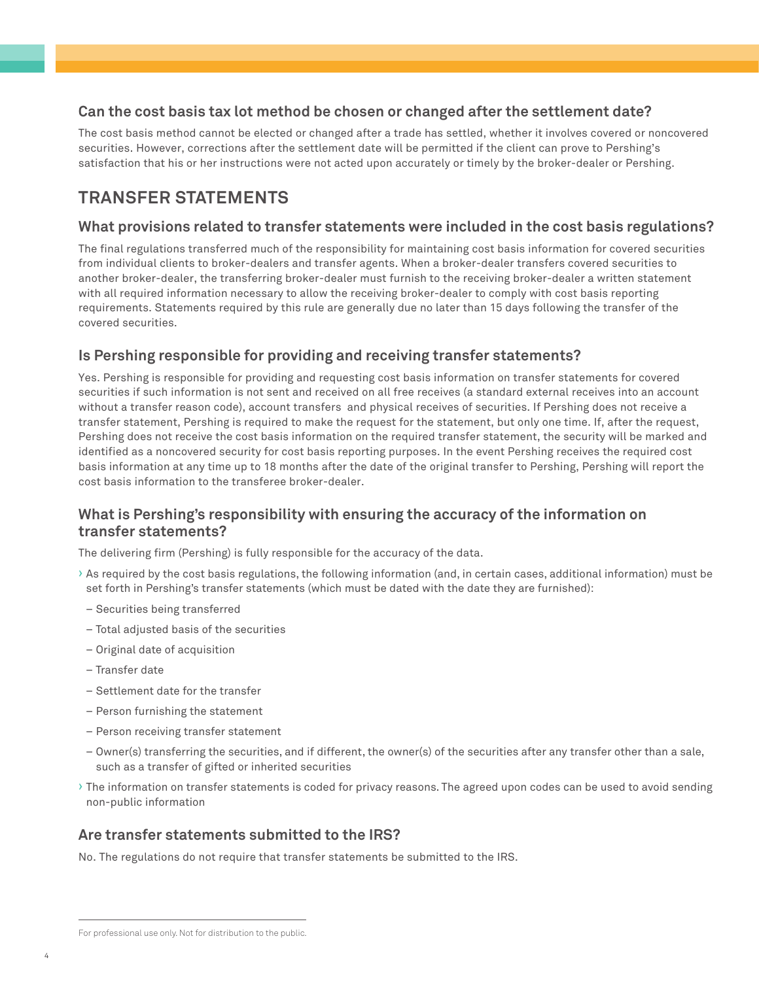# **Can the cost basis tax lot method be chosen or changed after the settlement date?**

The cost basis method cannot be elected or changed after a trade has settled, whether it involves covered or noncovered securities. However, corrections after the settlement date will be permitted if the client can prove to Pershing's satisfaction that his or her instructions were not acted upon accurately or timely by the broker-dealer or Pershing.

# **TRANSFER STATEMENTS**

# **What provisions related to transfer statements were included in the cost basis regulations?**

The final regulations transferred much of the responsibility for maintaining cost basis information for covered securities from individual clients to broker-dealers and transfer agents. When a broker-dealer transfers covered securities to another broker-dealer, the transferring broker-dealer must furnish to the receiving broker-dealer a written statement with all required information necessary to allow the receiving broker-dealer to comply with cost basis reporting requirements. Statements required by this rule are generally due no later than 15 days following the transfer of the covered securities.

# **Is Pershing responsible for providing and receiving transfer statements?**

Yes. Pershing is responsible for providing and requesting cost basis information on transfer statements for covered securities if such information is not sent and received on all free receives (a standard external receives into an account without a transfer reason code), account transfers and physical receives of securities. If Pershing does not receive a transfer statement, Pershing is required to make the request for the statement, but only one time. If, after the request, Pershing does not receive the cost basis information on the required transfer statement, the security will be marked and identified as a noncovered security for cost basis reporting purposes. In the event Pershing receives the required cost basis information at any time up to 18 months after the date of the original transfer to Pershing, Pershing will report the cost basis information to the transferee broker-dealer.

# **What is Pershing's responsibility with ensuring the accuracy of the information on transfer statements?**

The delivering firm (Pershing) is fully responsible for the accuracy of the data.

- › As required by the cost basis regulations, the following information (and, in certain cases, additional information) must be set forth in Pershing's transfer statements (which must be dated with the date they are furnished):
- Securities being transferred
- Total adjusted basis of the securities
- Original date of acquisition
- Transfer date
- Settlement date for the transfer
- Person furnishing the statement
- Person receiving transfer statement
- Owner(s) transferring the securities, and if different, the owner(s) of the securities after any transfer other than a sale, such as a transfer of gifted or inherited securities
- › The information on transfer statements is coded for privacy reasons. The agreed upon codes can be used to avoid sending non-public information

# **Are transfer statements submitted to the IRS?**

No. The regulations do not require that transfer statements be submitted to the IRS.

For professional use only. Not for distribution to the public.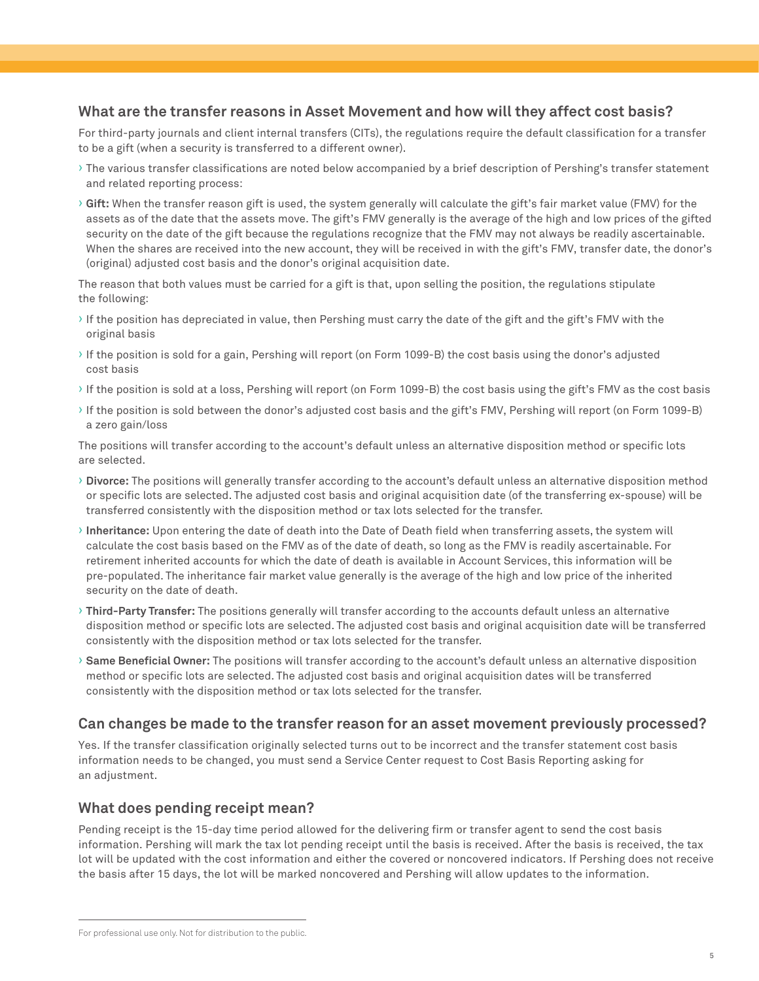#### **What are the transfer reasons in Asset Movement and how will they affect cost basis?**

For third-party journals and client internal transfers (CITs), the regulations require the default classification for a transfer to be a gift (when a security is transferred to a different owner).

- › The various transfer classifications are noted below accompanied by a brief description of Pershing's transfer statement and related reporting process:
- › **Gift:** When the transfer reason gift is used, the system generally will calculate the gift's fair market value (FMV) for the assets as of the date that the assets move. The gift's FMV generally is the average of the high and low prices of the gifted security on the date of the gift because the regulations recognize that the FMV may not always be readily ascertainable. When the shares are received into the new account, they will be received in with the gift's FMV, transfer date, the donor's (original) adjusted cost basis and the donor's original acquisition date.

The reason that both values must be carried for a gift is that, upon selling the position, the regulations stipulate the following:

- › If the position has depreciated in value, then Pershing must carry the date of the gift and the gift's FMV with the original basis
- › If the position is sold for a gain, Pershing will report (on Form 1099-B) the cost basis using the donor's adjusted cost basis
- › If the position is sold at a loss, Pershing will report (on Form 1099-B) the cost basis using the gift's FMV as the cost basis
- › If the position is sold between the donor's adjusted cost basis and the gift's FMV, Pershing will report (on Form 1099-B) a zero gain/loss

The positions will transfer according to the account's default unless an alternative disposition method or specific lots are selected.

- › **Divorce:** The positions will generally transfer according to the account's default unless an alternative disposition method or specific lots are selected. The adjusted cost basis and original acquisition date (of the transferring ex-spouse) will be transferred consistently with the disposition method or tax lots selected for the transfer.
- › **Inheritance:** Upon entering the date of death into the Date of Death field when transferring assets, the system will calculate the cost basis based on the FMV as of the date of death, so long as the FMV is readily ascertainable. For retirement inherited accounts for which the date of death is available in Account Services, this information will be pre-populated. The inheritance fair market value generally is the average of the high and low price of the inherited security on the date of death.
- › **Third-Party Transfer:** The positions generally will transfer according to the accounts default unless an alternative disposition method or specific lots are selected. The adjusted cost basis and original acquisition date will be transferred consistently with the disposition method or tax lots selected for the transfer.
- › **Same Beneficial Owner:** The positions will transfer according to the account's default unless an alternative disposition method or specific lots are selected. The adjusted cost basis and original acquisition dates will be transferred consistently with the disposition method or tax lots selected for the transfer.

#### **Can changes be made to the transfer reason for an asset movement previously processed?**

Yes. If the transfer classification originally selected turns out to be incorrect and the transfer statement cost basis information needs to be changed, you must send a Service Center request to Cost Basis Reporting asking for an adjustment.

#### **What does pending receipt mean?**

Pending receipt is the 15-day time period allowed for the delivering firm or transfer agent to send the cost basis information. Pershing will mark the tax lot pending receipt until the basis is received. After the basis is received, the tax lot will be updated with the cost information and either the covered or noncovered indicators. If Pershing does not receive the basis after 15 days, the lot will be marked noncovered and Pershing will allow updates to the information.

For professional use only. Not for distribution to the public.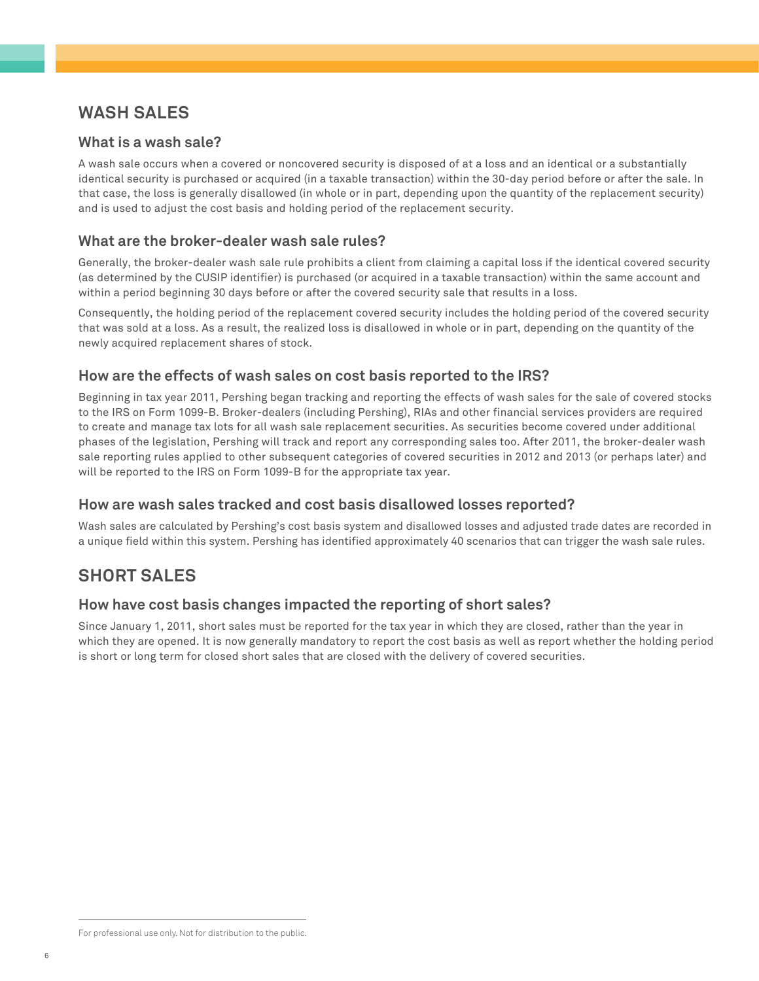# **WASH SALES**

## **What is a wash sale?**

A wash sale occurs when a covered or noncovered security is disposed of at a loss and an identical or a substantially identical security is purchased or acquired (in a taxable transaction) within the 30-day period before or after the sale. In that case, the loss is generally disallowed (in whole or in part, depending upon the quantity of the replacement security) and is used to adjust the cost basis and holding period of the replacement security.

## **What are the broker-dealer wash sale rules?**

Generally, the broker-dealer wash sale rule prohibits a client from claiming a capital loss if the identical covered security (as determined by the CUSIP identifier) is purchased (or acquired in a taxable transaction) within the same account and within a period beginning 30 days before or after the covered security sale that results in a loss.

Consequently, the holding period of the replacement covered security includes the holding period of the covered security that was sold at a loss. As a result, the realized loss is disallowed in whole or in part, depending on the quantity of the newly acquired replacement shares of stock.

## **How are the effects of wash sales on cost basis reported to the IRS?**

Beginning in tax year 2011, Pershing began tracking and reporting the effects of wash sales for the sale of covered stocks to the IRS on Form 1099-B. Broker-dealers (including Pershing), RIAs and other financial services providers are required to create and manage tax lots for all wash sale replacement securities. As securities become covered under additional phases of the legislation, Pershing will track and report any corresponding sales too. After 2011, the broker-dealer wash sale reporting rules applied to other subsequent categories of covered securities in 2012 and 2013 (or perhaps later) and will be reported to the IRS on Form 1099-B for the appropriate tax year.

# **How are wash sales tracked and cost basis disallowed losses reported?**

Wash sales are calculated by Pershing's cost basis system and disallowed losses and adjusted trade dates are recorded in a unique field within this system. Pershing has identified approximately 40 scenarios that can trigger the wash sale rules.

# **SHORT SALES**

# **How have cost basis changes impacted the reporting of short sales?**

Since January 1, 2011, short sales must be reported for the tax year in which they are closed, rather than the year in which they are opened. It is now generally mandatory to report the cost basis as well as report whether the holding period is short or long term for closed short sales that are closed with the delivery of covered securities.

For professional use only. Not for distribution to the public.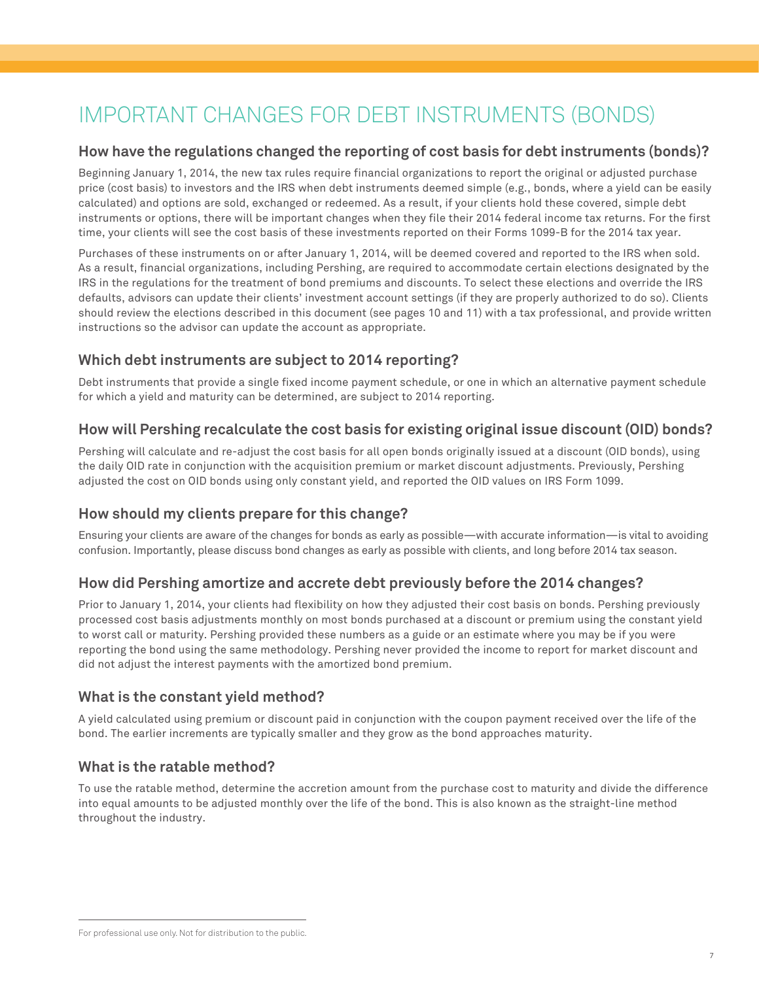# IMPORTANT CHANGES FOR DEBT INSTRUMENTS (BONDS)

# **How have the regulations changed the reporting of cost basis for debt instruments (bonds)?**

Beginning January 1, 2014, the new tax rules require financial organizations to report the original or adjusted purchase price (cost basis) to investors and the IRS when debt instruments deemed simple (e.g., bonds, where a yield can be easily calculated) and options are sold, exchanged or redeemed. As a result, if your clients hold these covered, simple debt instruments or options, there will be important changes when they file their 2014 federal income tax returns. For the first time, your clients will see the cost basis of these investments reported on their Forms 1099-B for the 2014 tax year.

Purchases of these instruments on or after January 1, 2014, will be deemed covered and reported to the IRS when sold. As a result, financial organizations, including Pershing, are required to accommodate certain elections designated by the IRS in the regulations for the treatment of bond premiums and discounts. To select these elections and override the IRS defaults, advisors can update their clients' investment account settings (if they are properly authorized to do so). Clients should review the elections described in this document (see pages 10 and 11) with a tax professional, and provide written instructions so the advisor can update the account as appropriate.

# **Which debt instruments are subject to 2014 reporting?**

Debt instruments that provide a single fixed income payment schedule, or one in which an alternative payment schedule for which a yield and maturity can be determined, are subject to 2014 reporting.

# **How will Pershing recalculate the cost basis for existing original issue discount (OID) bonds?**

Pershing will calculate and re-adjust the cost basis for all open bonds originally issued at a discount (OID bonds), using the daily OID rate in conjunction with the acquisition premium or market discount adjustments. Previously, Pershing adjusted the cost on OID bonds using only constant yield, and reported the OID values on IRS Form 1099.

# **How should my clients prepare for this change?**

Ensuring your clients are aware of the changes for bonds as early as possible—with accurate information—is vital to avoiding confusion. Importantly, please discuss bond changes as early as possible with clients, and long before 2014 tax season.

# **How did Pershing amortize and accrete debt previously before the 2014 changes?**

Prior to January 1, 2014, your clients had flexibility on how they adjusted their cost basis on bonds. Pershing previously processed cost basis adjustments monthly on most bonds purchased at a discount or premium using the constant yield to worst call or maturity. Pershing provided these numbers as a guide or an estimate where you may be if you were reporting the bond using the same methodology. Pershing never provided the income to report for market discount and did not adjust the interest payments with the amortized bond premium.

# **What is the constant yield method?**

A yield calculated using premium or discount paid in conjunction with the coupon payment received over the life of the bond. The earlier increments are typically smaller and they grow as the bond approaches maturity.

# **What is the ratable method?**

To use the ratable method, determine the accretion amount from the purchase cost to maturity and divide the difference into equal amounts to be adjusted monthly over the life of the bond. This is also known as the straight-line method throughout the industry.

For professional use only. Not for distribution to the public.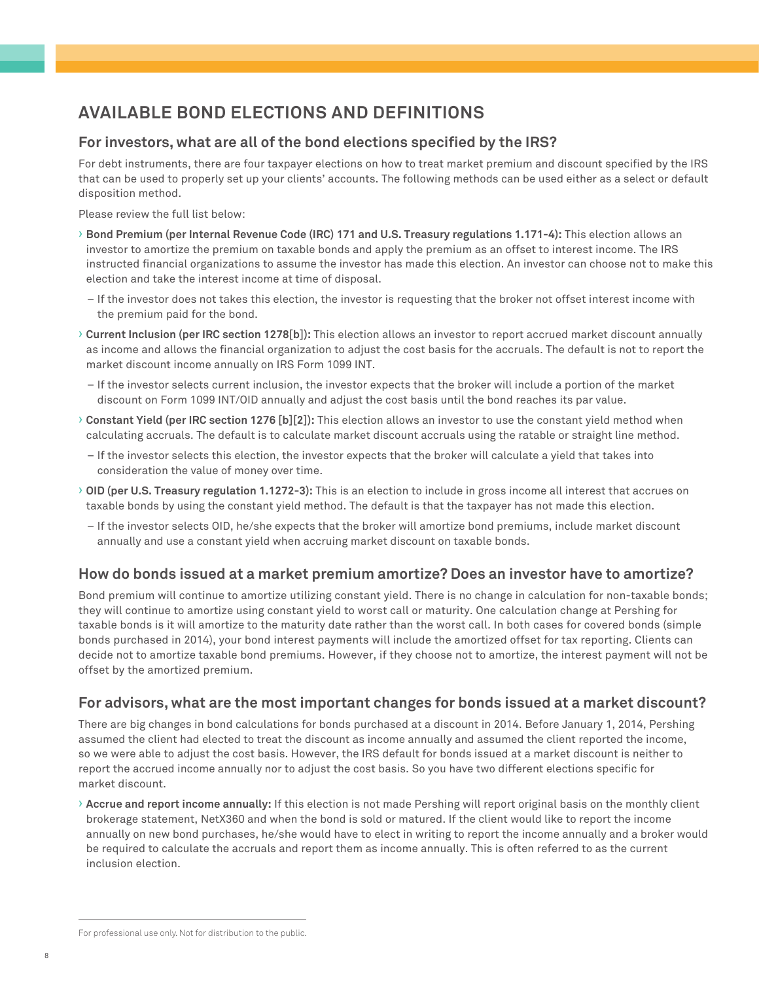# **AVAILABLE BOND ELECTIONS AND DEFINITIONS**

## **For investors, what are all of the bond elections specified by the IRS?**

For debt instruments, there are four taxpayer elections on how to treat market premium and discount specified by the IRS that can be used to properly set up your clients' accounts. The following methods can be used either as a select or default disposition method.

Please review the full list below:

- › **Bond Premium (per Internal Revenue Code (IRC) 171 and U.S. Treasury regulations 1.171-4):** This election allows an investor to amortize the premium on taxable bonds and apply the premium as an offset to interest income. The IRS instructed financial organizations to assume the investor has made this election. An investor can choose not to make this election and take the interest income at time of disposal.
	- If the investor does not takes this election, the investor is requesting that the broker not offset interest income with the premium paid for the bond.
- › **Current Inclusion (per IRC section 1278[b]):** This election allows an investor to report accrued market discount annually as income and allows the financial organization to adjust the cost basis for the accruals. The default is not to report the market discount income annually on IRS Form 1099 INT.
- If the investor selects current inclusion, the investor expects that the broker will include a portion of the market discount on Form 1099 INT/OID annually and adjust the cost basis until the bond reaches its par value.
- › **Constant Yield (per IRC section 1276 [b][2]):** This election allows an investor to use the constant yield method when calculating accruals. The default is to calculate market discount accruals using the ratable or straight line method.
	- If the investor selects this election, the investor expects that the broker will calculate a yield that takes into consideration the value of money over time.
- › **OID (per U.S. Treasury regulation 1.1272-3):** This is an election to include in gross income all interest that accrues on taxable bonds by using the constant yield method. The default is that the taxpayer has not made this election.
	- If the investor selects OID, he/she expects that the broker will amortize bond premiums, include market discount annually and use a constant yield when accruing market discount on taxable bonds.

#### **How do bonds issued at a market premium amortize? Does an investor have to amortize?**

Bond premium will continue to amortize utilizing constant yield. There is no change in calculation for non-taxable bonds; they will continue to amortize using constant yield to worst call or maturity. One calculation change at Pershing for taxable bonds is it will amortize to the maturity date rather than the worst call. In both cases for covered bonds (simple bonds purchased in 2014), your bond interest payments will include the amortized offset for tax reporting. Clients can decide not to amortize taxable bond premiums. However, if they choose not to amortize, the interest payment will not be offset by the amortized premium.

#### **For advisors, what are the most important changes for bonds issued at a market discount?**

There are big changes in bond calculations for bonds purchased at a discount in 2014. Before January 1, 2014, Pershing assumed the client had elected to treat the discount as income annually and assumed the client reported the income, so we were able to adjust the cost basis. However, the IRS default for bonds issued at a market discount is neither to report the accrued income annually nor to adjust the cost basis. So you have two different elections specific for market discount.

› **Accrue and report income annually:** If this election is not made Pershing will report original basis on the monthly client brokerage statement, NetX360 and when the bond is sold or matured. If the client would like to report the income annually on new bond purchases, he/she would have to elect in writing to report the income annually and a broker would be required to calculate the accruals and report them as income annually. This is often referred to as the current inclusion election.

For professional use only. Not for distribution to the public.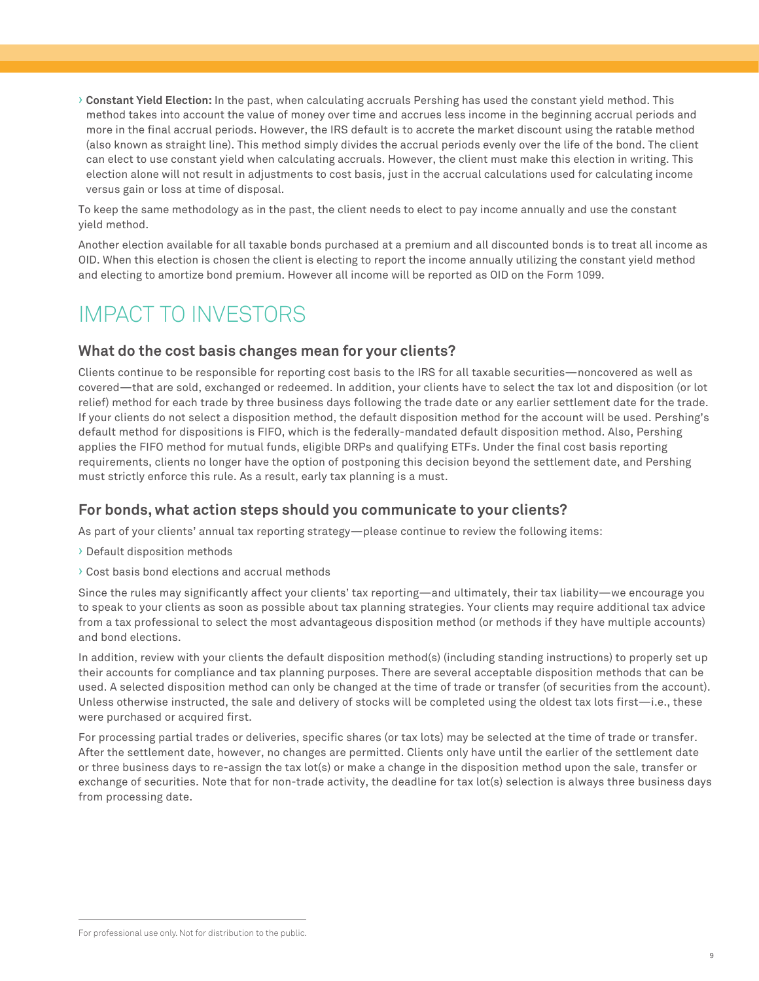› **Constant Yield Election:** In the past, when calculating accruals Pershing has used the constant yield method. This method takes into account the value of money over time and accrues less income in the beginning accrual periods and more in the final accrual periods. However, the IRS default is to accrete the market discount using the ratable method (also known as straight line). This method simply divides the accrual periods evenly over the life of the bond. The client can elect to use constant yield when calculating accruals. However, the client must make this election in writing. This election alone will not result in adjustments to cost basis, just in the accrual calculations used for calculating income versus gain or loss at time of disposal.

To keep the same methodology as in the past, the client needs to elect to pay income annually and use the constant yield method.

Another election available for all taxable bonds purchased at a premium and all discounted bonds is to treat all income as OID. When this election is chosen the client is electing to report the income annually utilizing the constant yield method and electing to amortize bond premium. However all income will be reported as OID on the Form 1099.

# IMPACT TO INVESTORS

#### **What do the cost basis changes mean for your clients?**

Clients continue to be responsible for reporting cost basis to the IRS for all taxable securities—noncovered as well as covered—that are sold, exchanged or redeemed. In addition, your clients have to select the tax lot and disposition (or lot relief) method for each trade by three business days following the trade date or any earlier settlement date for the trade. If your clients do not select a disposition method, the default disposition method for the account will be used. Pershing's default method for dispositions is FIFO, which is the federally-mandated default disposition method. Also, Pershing applies the FIFO method for mutual funds, eligible DRPs and qualifying ETFs. Under the final cost basis reporting requirements, clients no longer have the option of postponing this decision beyond the settlement date, and Pershing must strictly enforce this rule. As a result, early tax planning is a must.

#### **For bonds, what action steps should you communicate to your clients?**

As part of your clients' annual tax reporting strategy—please continue to review the following items:

- › Default disposition methods
- › Cost basis bond elections and accrual methods

Since the rules may significantly affect your clients' tax reporting—and ultimately, their tax liability—we encourage you to speak to your clients as soon as possible about tax planning strategies. Your clients may require additional tax advice from a tax professional to select the most advantageous disposition method (or methods if they have multiple accounts) and bond elections.

In addition, review with your clients the default disposition method(s) (including standing instructions) to properly set up their accounts for compliance and tax planning purposes. There are several acceptable disposition methods that can be used. A selected disposition method can only be changed at the time of trade or transfer (of securities from the account). Unless otherwise instructed, the sale and delivery of stocks will be completed using the oldest tax lots first—i.e., these were purchased or acquired first.

For processing partial trades or deliveries, specific shares (or tax lots) may be selected at the time of trade or transfer. After the settlement date, however, no changes are permitted. Clients only have until the earlier of the settlement date or three business days to re-assign the tax lot(s) or make a change in the disposition method upon the sale, transfer or exchange of securities. Note that for non-trade activity, the deadline for tax lot(s) selection is always three business days from processing date.

For professional use only. Not for distribution to the public.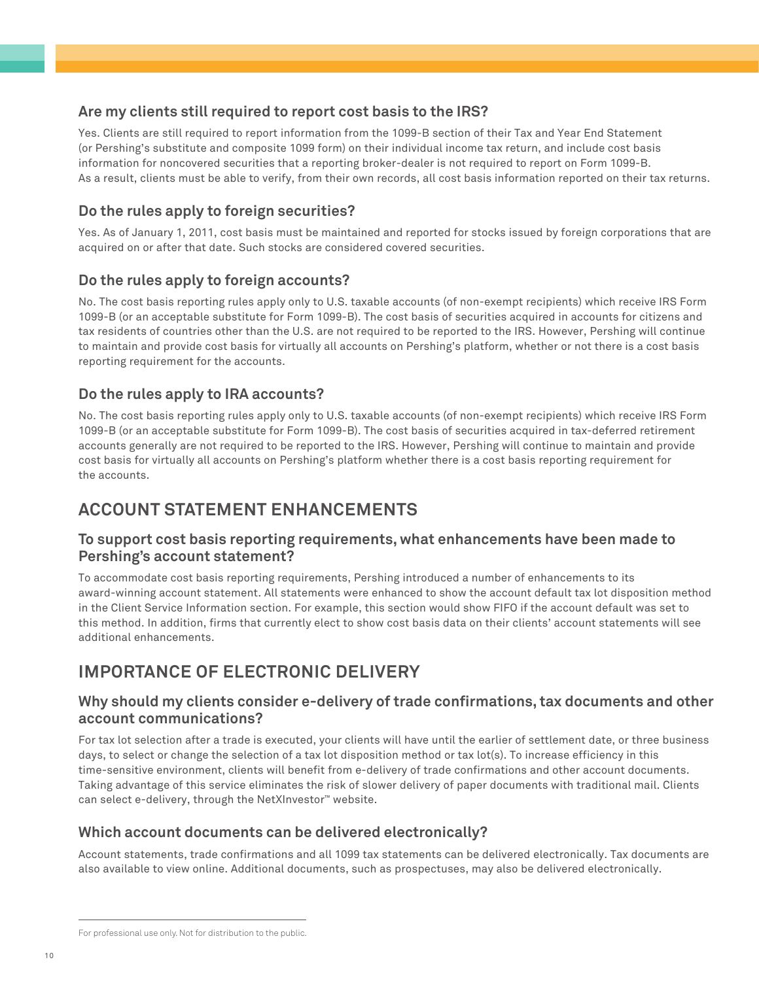# **Are my clients still required to report cost basis to the IRS?**

Yes. Clients are still required to report information from the 1099-B section of their Tax and Year End Statement (or Pershing's substitute and composite 1099 form) on their individual income tax return, and include cost basis information for noncovered securities that a reporting broker-dealer is not required to report on Form 1099-B. As a result, clients must be able to verify, from their own records, all cost basis information reported on their tax returns.

# **Do the rules apply to foreign securities?**

Yes. As of January 1, 2011, cost basis must be maintained and reported for stocks issued by foreign corporations that are acquired on or after that date. Such stocks are considered covered securities.

# **Do the rules apply to foreign accounts?**

No. The cost basis reporting rules apply only to U.S. taxable accounts (of non-exempt recipients) which receive IRS Form 1099-B (or an acceptable substitute for Form 1099-B). The cost basis of securities acquired in accounts for citizens and tax residents of countries other than the U.S. are not required to be reported to the IRS. However, Pershing will continue to maintain and provide cost basis for virtually all accounts on Pershing's platform, whether or not there is a cost basis reporting requirement for the accounts.

# **Do the rules apply to IRA accounts?**

No. The cost basis reporting rules apply only to U.S. taxable accounts (of non-exempt recipients) which receive IRS Form 1099-B (or an acceptable substitute for Form 1099-B). The cost basis of securities acquired in tax-deferred retirement accounts generally are not required to be reported to the IRS. However, Pershing will continue to maintain and provide cost basis for virtually all accounts on Pershing's platform whether there is a cost basis reporting requirement for the accounts.

# **ACCOUNT STATEMENT ENHANCEMENTS**

## **To support cost basis reporting requirements, what enhancements have been made to Pershing's account statement?**

To accommodate cost basis reporting requirements, Pershing introduced a number of enhancements to its award-winning account statement. All statements were enhanced to show the account default tax lot disposition method in the Client Service Information section. For example, this section would show FIFO if the account default was set to this method. In addition, firms that currently elect to show cost basis data on their clients' account statements will see additional enhancements.

# **IMPORTANCE OF ELECTRONIC DELIVERY**

# **Why should my clients consider e-delivery of trade confirmations, tax documents and other account communications?**

For tax lot selection after a trade is executed, your clients will have until the earlier of settlement date, or three business days, to select or change the selection of a tax lot disposition method or tax lot(s). To increase efficiency in this time-sensitive environment, clients will benefit from e-delivery of trade confirmations and other account documents. Taking advantage of this service eliminates the risk of slower delivery of paper documents with traditional mail. Clients can select e-delivery, through the NetXInvestor™ website.

# **Which account documents can be delivered electronically?**

Account statements, trade confirmations and all 1099 tax statements can be delivered electronically. Tax documents are also available to view online. Additional documents, such as prospectuses, may also be delivered electronically.

For professional use only. Not for distribution to the public.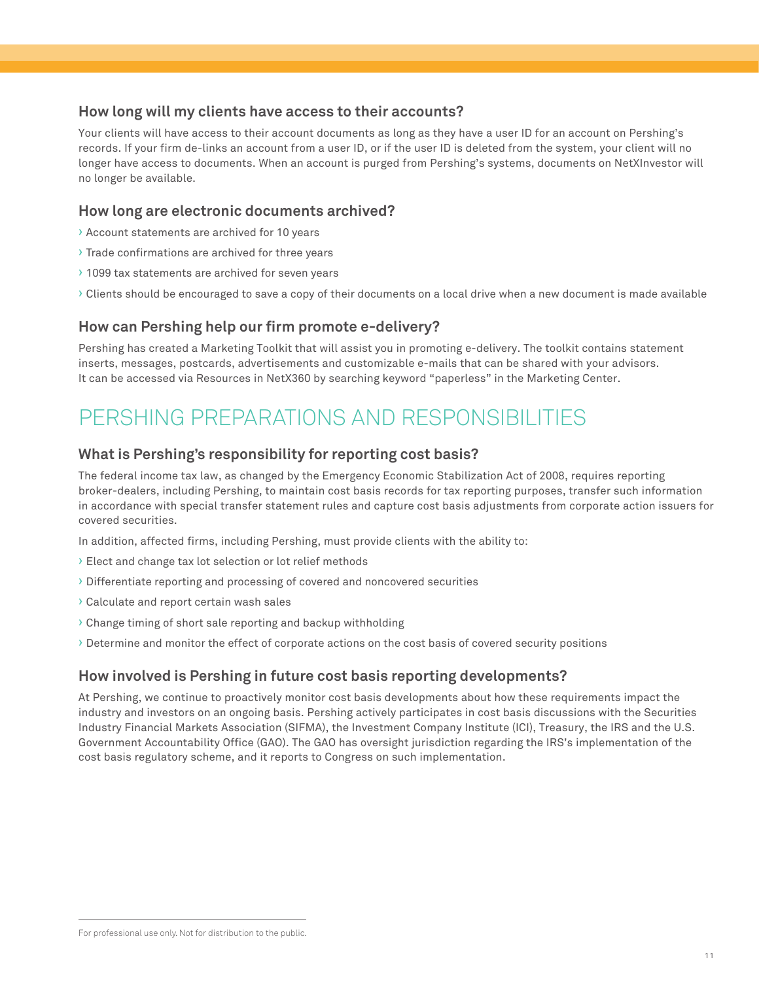## **How long will my clients have access to their accounts?**

Your clients will have access to their account documents as long as they have a user ID for an account on Pershing's records. If your firm de-links an account from a user ID, or if the user ID is deleted from the system, your client will no longer have access to documents. When an account is purged from Pershing's systems, documents on NetXInvestor will no longer be available.

#### **How long are electronic documents archived?**

- › Account statements are archived for 10 years
- › Trade confirmations are archived for three years
- › 1099 tax statements are archived for seven years
- › Clients should be encouraged to save a copy of their documents on a local drive when a new document is made available

#### **How can Pershing help our firm promote e-delivery?**

Pershing has created a Marketing Toolkit that will assist you in promoting e-delivery. The toolkit contains statement inserts, messages, postcards, advertisements and customizable e-mails that can be shared with your advisors. It can be accessed via Resources in NetX360 by searching keyword "paperless" in the Marketing Center.

# PERSHING PREPARATIONS AND RESPONSIBILITIES

# **What is Pershing's responsibility for reporting cost basis?**

The federal income tax law, as changed by the Emergency Economic Stabilization Act of 2008, requires reporting broker-dealers, including Pershing, to maintain cost basis records for tax reporting purposes, transfer such information in accordance with special transfer statement rules and capture cost basis adjustments from corporate action issuers for covered securities.

In addition, affected firms, including Pershing, must provide clients with the ability to:

- › Elect and change tax lot selection or lot relief methods
- › Differentiate reporting and processing of covered and noncovered securities
- › Calculate and report certain wash sales
- › Change timing of short sale reporting and backup withholding
- › Determine and monitor the effect of corporate actions on the cost basis of covered security positions

#### **How involved is Pershing in future cost basis reporting developments?**

At Pershing, we continue to proactively monitor cost basis developments about how these requirements impact the industry and investors on an ongoing basis. Pershing actively participates in cost basis discussions with the Securities Industry Financial Markets Association (SIFMA), the Investment Company Institute (ICI), Treasury, the IRS and the U.S. Government Accountability Office (GAO). The GAO has oversight jurisdiction regarding the IRS's implementation of the cost basis regulatory scheme, and it reports to Congress on such implementation.

For professional use only. Not for distribution to the public.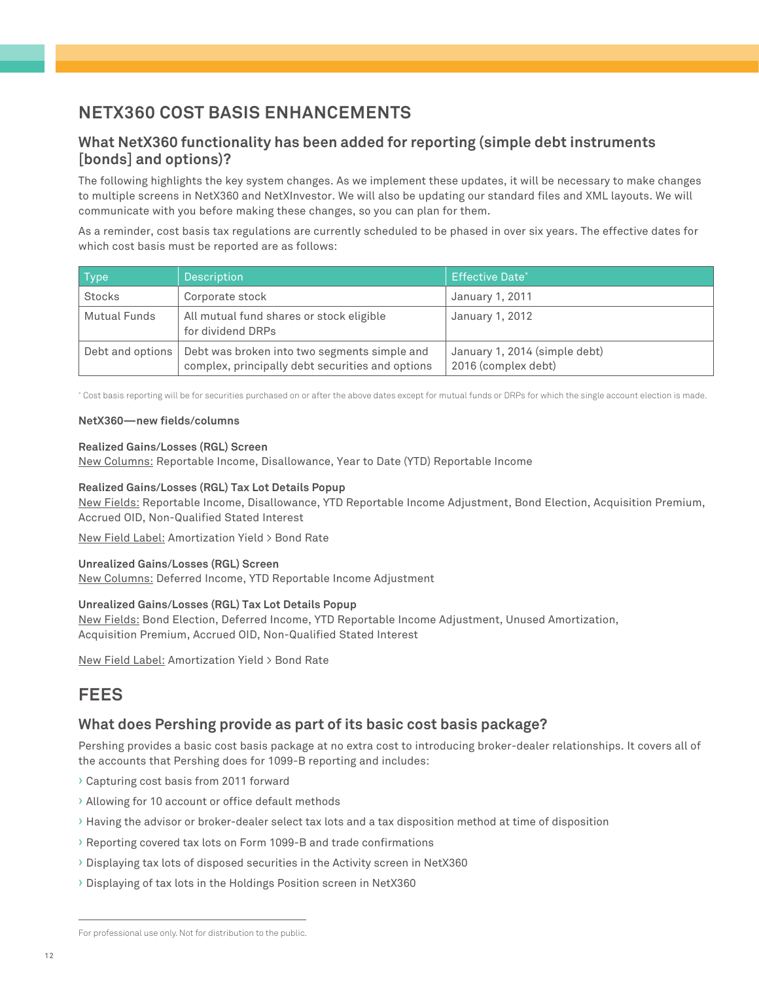# **NETX360 COST BASIS ENHANCEMENTS**

# **What NetX360 functionality has been added for reporting (simple debt instruments [bonds] and options)?**

The following highlights the key system changes. As we implement these updates, it will be necessary to make changes to multiple screens in NetX360 and NetXInvestor. We will also be updating our standard files and XML layouts. We will communicate with you before making these changes, so you can plan for them.

As a reminder, cost basis tax regulations are currently scheduled to be phased in over six years. The effective dates for which cost basis must be reported are as follows:

| <b>Type</b>      | Description                                                                                      | <b>Effective Date*</b>                               |
|------------------|--------------------------------------------------------------------------------------------------|------------------------------------------------------|
| Stocks           | Corporate stock                                                                                  | January 1, 2011                                      |
| Mutual Funds     | All mutual fund shares or stock eligible<br>for dividend DRPs                                    | January 1, 2012                                      |
| Debt and options | Debt was broken into two segments simple and<br>complex, principally debt securities and options | January 1, 2014 (simple debt)<br>2016 (complex debt) |

\* Cost basis reporting will be for securities purchased on or after the above dates except for mutual funds or DRPs for which the single account election is made.

#### **NetX360—new fields/columns**

#### **Realized Gains/Losses (RGL) Screen**

New Columns: Reportable Income, Disallowance, Year to Date (YTD) Reportable Income

#### **Realized Gains/Losses (RGL) Tax Lot Details Popup**

New Fields: Reportable Income, Disallowance, YTD Reportable Income Adjustment, Bond Election, Acquisition Premium, Accrued OID, Non-Qualified Stated Interest

New Field Label: Amortization Yield > Bond Rate

#### **Unrealized Gains/Losses (RGL) Screen**

New Columns: Deferred Income, YTD Reportable Income Adjustment

#### **Unrealized Gains/Losses (RGL) Tax Lot Details Popup**

New Fields: Bond Election, Deferred Income, YTD Reportable Income Adjustment, Unused Amortization, Acquisition Premium, Accrued OID, Non-Qualified Stated Interest

New Field Label: Amortization Yield > Bond Rate

# **FEES**

#### **What does Pershing provide as part of its basic cost basis package?**

Pershing provides a basic cost basis package at no extra cost to introducing broker-dealer relationships. It covers all of the accounts that Pershing does for 1099-B reporting and includes:

- › Capturing cost basis from 2011 forward
- › Allowing for 10 account or office default methods
- › Having the advisor or broker-dealer select tax lots and a tax disposition method at time of disposition
- › Reporting covered tax lots on Form 1099-B and trade confirmations
- › Displaying tax lots of disposed securities in the Activity screen in NetX360
- › Displaying of tax lots in the Holdings Position screen in NetX360

For professional use only. Not for distribution to the public.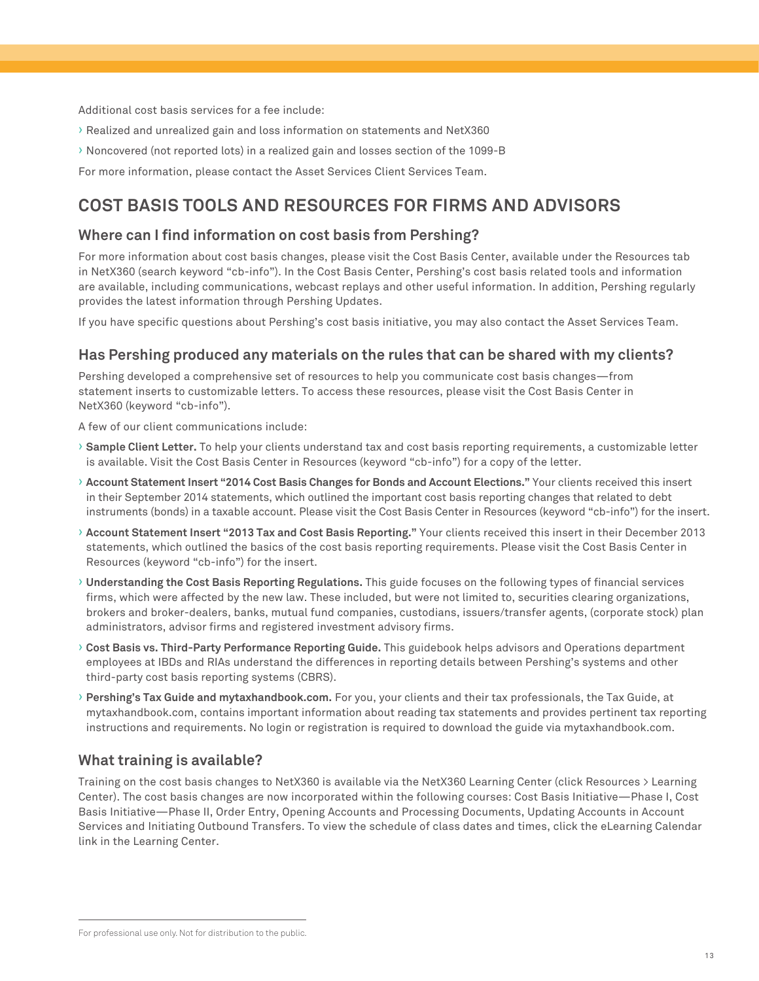Additional cost basis services for a fee include:

- › Realized and unrealized gain and loss information on statements and NetX360
- › Noncovered (not reported lots) in a realized gain and losses section of the 1099-B

For more information, please contact the Asset Services Client Services Team.

# **COST BASIS TOOLS AND RESOURCES FOR FIRMS AND ADVISORS**

#### **Where can I find information on cost basis from Pershing?**

For more information about cost basis changes, please visit the Cost Basis Center, available under the Resources tab in NetX360 (search keyword "cb-info"). In the Cost Basis Center, Pershing's cost basis related tools and information are available, including communications, webcast replays and other useful information. In addition, Pershing regularly provides the latest information through Pershing Updates.

If you have specific questions about Pershing's cost basis initiative, you may also contact the Asset Services Team.

#### **Has Pershing produced any materials on the rules that can be shared with my clients?**

Pershing developed a comprehensive set of resources to help you communicate cost basis changes—from statement inserts to customizable letters. To access these resources, please visit the Cost Basis Center in NetX360 (keyword "cb-info").

A few of our client communications include:

- › **Sample Client Letter.** To help your clients understand tax and cost basis reporting requirements, a customizable letter is available. Visit the Cost Basis Center in Resources (keyword "cb-info") for a copy of the letter.
- › **Account Statement Insert "2014 Cost Basis Changes for Bonds and Account Elections."** Your clients received this insert in their September 2014 statements, which outlined the important cost basis reporting changes that related to debt instruments (bonds) in a taxable account. Please visit the Cost Basis Center in Resources (keyword "cb-info") for the insert.
- › **Account Statement Insert "2013 Tax and Cost Basis Reporting."** Your clients received this insert in their December 2013 statements, which outlined the basics of the cost basis reporting requirements. Please visit the Cost Basis Center in Resources (keyword "cb-info") for the insert.
- › **Understanding the Cost Basis Reporting Regulations.** This guide focuses on the following types of financial services firms, which were affected by the new law. These included, but were not limited to, securities clearing organizations, brokers and broker-dealers, banks, mutual fund companies, custodians, issuers/transfer agents, (corporate stock) plan administrators, advisor firms and registered investment advisory firms.
- › **Cost Basis vs. Third-Party Performance Reporting Guide.** This guidebook helps advisors and Operations department employees at IBDs and RIAs understand the differences in reporting details between Pershing's systems and other third-party cost basis reporting systems (CBRS).
- › **Pershing's Tax Guide and mytaxhandbook.com.** For you, your clients and their tax professionals, the Tax Guide, at mytaxhandbook.com, contains important information about reading tax statements and provides pertinent tax reporting instructions and requirements. No login or registration is required to download the guide via mytaxhandbook.com.

#### **What training is available?**

Training on the cost basis changes to NetX360 is available via the NetX360 Learning Center (click Resources > Learning Center). The cost basis changes are now incorporated within the following courses: Cost Basis Initiative—Phase I, Cost Basis Initiative—Phase II, Order Entry, Opening Accounts and Processing Documents, Updating Accounts in Account Services and Initiating Outbound Transfers. To view the schedule of class dates and times, click the eLearning Calendar link in the Learning Center.

For professional use only. Not for distribution to the public.